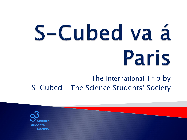# S-Cubed va á Paris

#### The International Trip by S-Cubed – The Science Students' Society

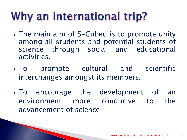# Why an international trip?

- The main aim of S-Cubed is to promote unity among all students and potential students of science through social and educational activities.
- To promote cultural and scientific interchanges amongst its members.
- To encourage the development of an environment more conducive to the advancement of science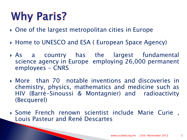# **Why Paris?**

- ▶ One of the largest metropolitan cities in Europe
- ▶ Home to UNESCO and ESA ( European Space Agency)
- As a country has the largest fundamental science agency in Europe employing 26,000 permanent employees - CNRS
- More than 70 notable inventions and discoveries in chemistry, physics, mathematics and medicine such as HIV (Barré-Sinoussi & Montagnier) and radioactivity (Becquerel)
- Some French renown scientist include Marie Curie , Louis Pasteur and René Descartes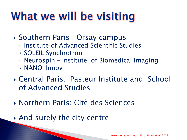# What we will be visiting

- ▶ Southern Paris : Orsay campus
	- Institute of Advanced Scientific Studies
	- SOLEIL Synchrotron
	- Neurospin Institute of Biomedical Imaging
	- NANO-Innov
- Central Paris: Pasteur Institute and School of Advanced Studies
- Northern Paris: Citè des Sciences
- And surely the city centre!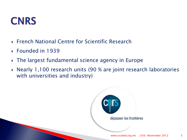#### **CNRS**

- ▶ French National Centre for Scientific Research
- Founded in 1939
- The largest fundamental science agency in Europe
- Nearly 1,100 research units (90 % are joint research laboratories with universities and industry)

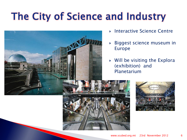### The City of Science and Industry



- Interactive Science Centre
- Biggest science museum in Europe
- Will be visiting the Explora (exhibition) and Planetarium

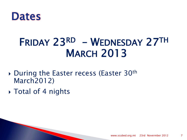

#### FRIDAY 23RD – WEDNESDAY 27TH **MARCH 2013**

- ▶ During the Easter recess (Easter 30<sup>th</sup> March2012)
- Total of 4 nights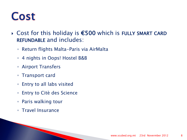#### **Cost**

- Cost for this holiday is €500 which is FULLY SMART CARD REFUNDABLE and includes:
	- Return flights Malta-Paris via AirMalta
	- 4 nights in Oops! Hostel B&B
	- Airport Transfers
	- Transport card
	- Entry to all labs visited
	- Entry to Citè des Science
	- Paris walking tour
	- Travel Insurance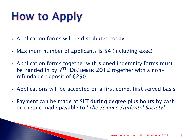# **How to Apply**

- Application forms will be distributed today
- Maximum number of applicants is 54 (including exec)
- Application forms together with signed indemnity forms must be handed in by 7TH DECEMBER 2012 together with a nonrefundable deposit of €250
- Applications will be accepted on a first come, first served basis
- ▶ Payment can be made at SLT during degree plus hours by cash or cheque made payable to 'The Science Students' Society'